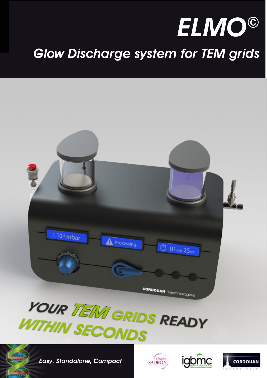

# Glow Discharge system for TEM grids







Easy, Standalone, Compact





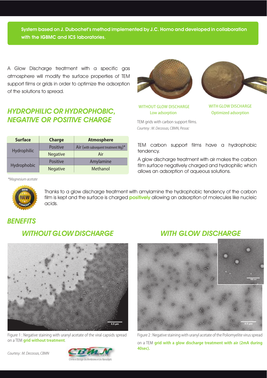System based on J. Dubochet's method implemented by J.C. Homo and developed in collaboration with the IGBMC and ICS laboratories.

A Glow Discharge treatment with a specific gas atmosphere will modify the surface properties of TEM support films or grids in order to optimize the adsorption of the solutions to spread.

## HYDROPHILIC OR HYDROPHOBIC, NEGATIVE OR POSITIVE CHARGE

| <b>Surface</b> | <b>Charge</b>   | <b>Atmosphere</b>                      |
|----------------|-----------------|----------------------------------------|
| Hydrophilic    | <b>Positive</b> | Air (with subsequent treatment Mg) $*$ |
|                | <b>Negative</b> | Air                                    |
| Hydrophobic    | <b>Positive</b> | Amylamine                              |
|                | <b>Negative</b> | Methanol                               |



WITHOUT GLOW DISCHARGE WITH GLOW DISCHARGE

TEM grids with carbon support films. Courtesy : M. Decossas, CBMN, Pessac



Low adsorption **Contact Contact Contact Contact Contact Contact Contact Contact Contact Contact Contact Contact Contact Contact Contact Contact Contact Contact Contact Contact Contact Contact Contact Contact Contact Contac** 

TEM carbon support films have a hydrophobic tendency.

A glow discharge treatment with air makes the carbon film surface negatively charged and hydrophilic which allows an adsorption of aqueous solutions.

\*Magnesium acetate



Thanks to a glow discharge treatment with amylamine the hydrophobic tendency of the carbon film is kept and the surface is charged **positively** allowing an adsorption of molecules like nucleic acids.

# **BENEFITS**

#### WITHOUT GLOW DISCHARGE



Figure 1 : Negative staining with uranyl acetate of the viral capsids spread on a TEM **grid without treatment**.



## WITH GLOW DISCHARGE



Figure 2 : Negative staining with uranyl acetate of the Poliomyelite virus spread on a TEM **grid with a glow discharge treatment with air (2mA during 40sec).**

Courtesy : M. Decossas, CBMN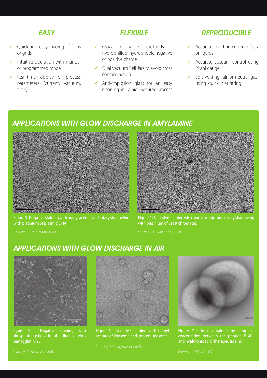#### **FASY**

- Quick and easy loading of films or grids
- Intuitive operation with manual or programmed mode
- Real-time display of process parameters (current, vacuum, time)

#### **FIFXIRIF**

- $\checkmark$  Glow discharge methods hydrophilic or hydrophobic,negative or positive charge
- $\checkmark$  Dual vacuum Bell Jars to avoid cross contamination
- $\checkmark$  Anti-implosion glass for an easy cleaning and a high secured process

### REPRODUCIBLE

- $\checkmark$  Accurate injection control of gaz or liquids
- $\checkmark$  Accurate vacuum control using Pirani gauge
- $\checkmark$  Soft venting (air or neutral gaz) using quick inlet fitting

## APPLICATIONS WITH GLOW DISCHARGE IN AMYLAMINE



Figure 3 : Negative staining with uranyl acetate and rotary shadowing with platinium of plasmid DNA.



Figure 4 : Negative staining with uranyl acetate and rotary shadowing with platinium of yeast chromatin.

#### APPLICATIONS WITH GLOW DISCHARGE IN AIR



Figure 5 : Negative staining with phosphotungstic acid of Influenza virus hemagglutinin .



Figure 6 : Negative staining with uranyl acetate of liposome and proteo-liposome.



Figure 7 : Torus obtained by complex coacervation between the peptide P140 and hyaluronic acid (therapeutic aim).